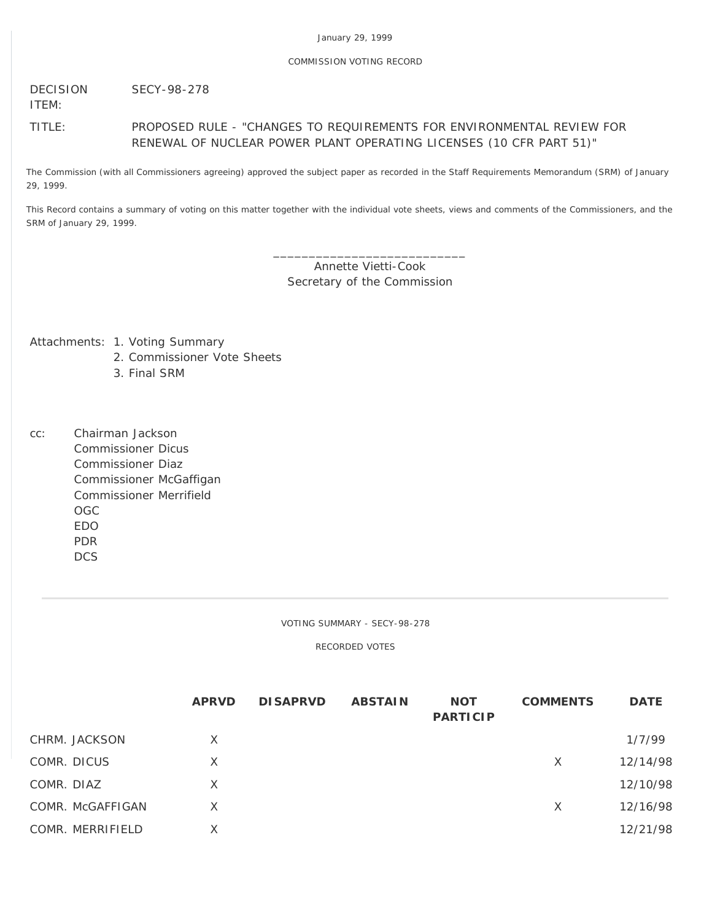## COMMISSION VOTING RECORD

DECISION SECY-98-278

ITEM:

# TITLE: PROPOSED RULE - "CHANGES TO REQUIREMENTS FOR ENVIRONMENTAL REVIEW FOR RENEWAL OF NUCLEAR POWER PLANT OPERATING LICENSES (10 CFR PART 51)"

The Commission (with all Commissioners agreeing) approved the subject paper as recorded in the Staff Requirements Memorandum (SRM) of January 29, 1999.

This Record contains a summary of voting on this matter together with the individual vote sheets, views and comments of the Commissioners, and the SRM of January 29, 1999.

> \_\_\_\_\_\_\_\_\_\_\_\_\_\_\_\_\_\_\_\_\_\_\_\_\_\_\_ Annette Vietti-Cook Secretary of the Commission

Attachments: 1. Voting Summary

- 2. Commissioner Vote Sheets
- 3. Final SRM
- cc: Chairman Jackson Commissioner Dicus Commissioner Diaz Commissioner McGaffigan Commissioner Merrifield OGC EDO PDR **DCS**

VOTING SUMMARY - SECY-98-278

RECORDED VOTES

|                  | <b>APRVD</b> | <b>DISAPRVD</b> | <b>ABSTAIN</b> | <b>NOT</b><br><b>PARTICIP</b> | <b>COMMENTS</b> | <b>DATE</b> |
|------------------|--------------|-----------------|----------------|-------------------------------|-----------------|-------------|
| CHRM. JACKSON    | $\times$     |                 |                |                               |                 | 1/7/99      |
| COMR. DICUS      | X            |                 |                |                               | X               | 12/14/98    |
| COMR. DIAZ       | X            |                 |                |                               |                 | 12/10/98    |
| COMR. McGAFFIGAN | X            |                 |                |                               | X               | 12/16/98    |
| COMR. MERRIFIELD | X            |                 |                |                               |                 | 12/21/98    |